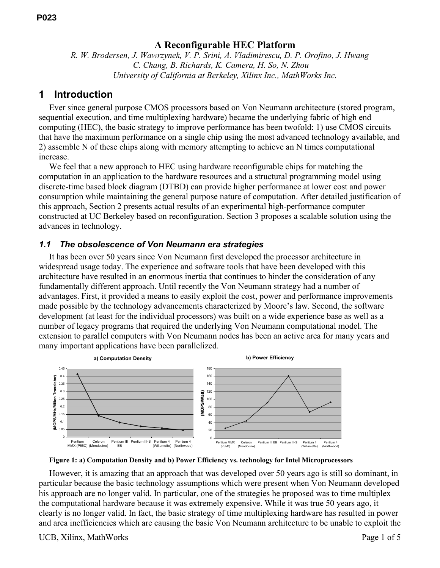### **A Reconfigurable HEC Platform**

*R. W. Brodersen, J. Wawrzynek, V. P. Srini, A. Vladimirescu, D. P. Orofino, J. Hwang C. Chang, B. Richards, K. Camera, H. So, N. Zhou University of California at Berkeley, Xilinx Inc., MathWorks Inc.* 

### **1 Introduction**

Ever since general purpose CMOS processors based on Von Neumann architecture (stored program, sequential execution, and time multiplexing hardware) became the underlying fabric of high end computing (HEC), the basic strategy to improve performance has been twofold: 1) use CMOS circuits that have the maximum performance on a single chip using the most advanced technology available, and 2) assemble N of these chips along with memory attempting to achieve an N times computational increase.

We feel that a new approach to HEC using hardware reconfigurable chips for matching the computation in an application to the hardware resources and a structural programming model using discrete-time based block diagram (DTBD) can provide higher performance at lower cost and power consumption while maintaining the general purpose nature of computation. After detailed justification of this approach, Section 2 presents actual results of an experimental high-performance computer constructed at UC Berkeley based on reconfiguration. Section 3 proposes a scalable solution using the advances in technology.

#### *1.1 The obsolescence of Von Neumann era strategies*

It has been over 50 years since Von Neumann first developed the processor architecture in widespread usage today. The experience and software tools that have been developed with this architecture have resulted in an enormous inertia that continues to hinder the consideration of any fundamentally different approach. Until recently the Von Neumann strategy had a number of advantages. First, it provided a means to easily exploit the cost, power and performance improvements made possible by the technology advancements characterized by Moore's law. Second, the software development (at least for the individual processors) was built on a wide experience base as well as a number of legacy programs that required the underlying Von Neumann computational model. The extension to parallel computers with Von Neumann nodes has been an active area for many years and many important applications have been parallelized.



**Figure 1: a) Computation Density and b) Power Efficiency vs. technology for Intel Microprocessors** 

However, it is amazing that an approach that was developed over 50 years ago is still so dominant, in particular because the basic technology assumptions which were present when Von Neumann developed his approach are no longer valid. In particular, one of the strategies he proposed was to time multiplex the computational hardware because it was extremely expensive. While it was true 50 years ago, it clearly is no longer valid. In fact, the basic strategy of time multiplexing hardware has resulted in power and area inefficiencies which are causing the basic Von Neumann architecture to be unable to exploit the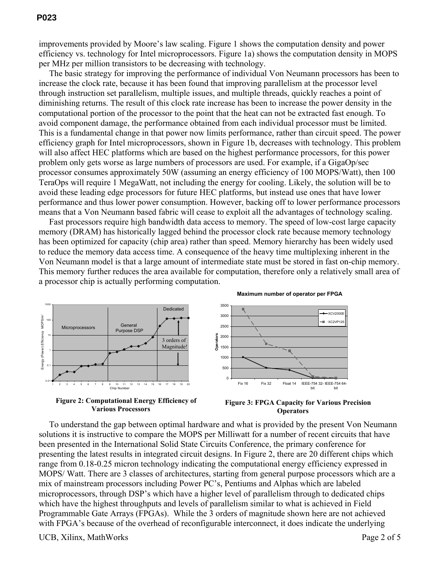improvements provided by Moore's law scaling. Figure 1 shows the computation density and power efficiency vs. technology for Intel microprocessors. Figure 1a) shows the computation density in MOPS per MHz per million transistors to be decreasing with technology.

The basic strategy for improving the performance of individual Von Neumann processors has been to increase the clock rate, because it has been found that improving parallelism at the processor level through instruction set parallelism, multiple issues, and multiple threads, quickly reaches a point of diminishing returns. The result of this clock rate increase has been to increase the power density in the computational portion of the processor to the point that the heat can not be extracted fast enough. To avoid component damage, the performance obtained from each individual processor must be limited. This is a fundamental change in that power now limits performance, rather than circuit speed. The power efficiency graph for Intel microprocessors, shown in Figure 1b, decreases with technology. This problem will also affect HEC platforms which are based on the highest performance processors, for this power problem only gets worse as large numbers of processors are used. For example, if a GigaOp/sec processor consumes approximately 50W (assuming an energy efficiency of 100 MOPS/Watt), then 100 TeraOps will require 1 MegaWatt, not including the energy for cooling. Likely, the solution will be to avoid these leading edge processors for future HEC platforms, but instead use ones that have lower performance and thus lower power consumption. However, backing off to lower performance processors means that a Von Neumann based fabric will cease to exploit all the advantages of technology scaling.

Fast processors require high bandwidth data access to memory. The speed of low-cost large capacity memory (DRAM) has historically lagged behind the processor clock rate because memory technology has been optimized for capacity (chip area) rather than speed. Memory hierarchy has been widely used to reduce the memory data access time. A consequence of the heavy time multiplexing inherent in the Von Neumann model is that a large amount of intermediate state must be stored in fast on-chip memory. This memory further reduces the area available for computation, therefore only a relatively small area of a processor chip is actually performing computation.



**Figure 2: Computational Energy Efficiency of Various Processors** 



bit

**Maximum number of operator per FPGA**

To understand the gap between optimal hardware and what is provided by the present Von Neumann solutions it is instructive to compare the MOPS per Milliwatt for a number of recent circuits that have been presented in the International Solid State Circuits Conference, the primary conference for presenting the latest results in integrated circuit designs. In Figure 2, there are 20 different chips which range from 0.18-0.25 micron technology indicating the computational energy efficiency expressed in MOPS/ Watt. There are 3 classes of architectures, starting from general purpose processors which are a mix of mainstream processors including Power PC's, Pentiums and Alphas which are labeled microprocessors, through DSP's which have a higher level of parallelism through to dedicated chips which have the highest throughputs and levels of parallelism similar to what is achieved in Field Programmable Gate Arrays (FPGAs). While the 3 orders of magnitude shown here are not achieved with FPGA's because of the overhead of reconfigurable interconnect, it does indicate the underlying

UCB, Xilinx, MathWorks Page 2 of 5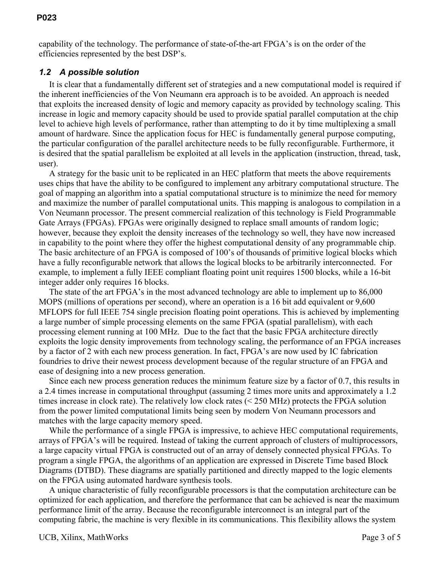capability of the technology. The performance of state-of-the-art FPGA's is on the order of the efficiencies represented by the best DSP's.

#### *1.2 A possible solution*

It is clear that a fundamentally different set of strategies and a new computational model is required if the inherent inefficiencies of the Von Neumann era approach is to be avoided. An approach is needed that exploits the increased density of logic and memory capacity as provided by technology scaling. This increase in logic and memory capacity should be used to provide spatial parallel computation at the chip level to achieve high levels of performance, rather than attempting to do it by time multiplexing a small amount of hardware. Since the application focus for HEC is fundamentally general purpose computing, the particular configuration of the parallel architecture needs to be fully reconfigurable. Furthermore, it is desired that the spatial parallelism be exploited at all levels in the application (instruction, thread, task, user).

A strategy for the basic unit to be replicated in an HEC platform that meets the above requirements uses chips that have the ability to be configured to implement any arbitrary computational structure. The goal of mapping an algorithm into a spatial computational structure is to minimize the need for memory and maximize the number of parallel computational units. This mapping is analogous to compilation in a Von Neumann processor. The present commercial realization of this technology is Field Programmable Gate Arrays (FPGAs). FPGAs were originally designed to replace small amounts of random logic; however, because they exploit the density increases of the technology so well, they have now increased in capability to the point where they offer the highest computational density of any programmable chip. The basic architecture of an FPGA is composed of 100's of thousands of primitive logical blocks which have a fully reconfigurable network that allows the logical blocks to be arbitrarily interconnected. For example, to implement a fully IEEE compliant floating point unit requires 1500 blocks, while a 16-bit integer adder only requires 16 blocks.

The state of the art FPGA's in the most advanced technology are able to implement up to 86,000 MOPS (millions of operations per second), where an operation is a 16 bit add equivalent or 9,600 MFLOPS for full IEEE 754 single precision floating point operations. This is achieved by implementing a large number of simple processing elements on the same FPGA (spatial parallelism), with each processing element running at 100 MHz. Due to the fact that the basic FPGA architecture directly exploits the logic density improvements from technology scaling, the performance of an FPGA increases by a factor of 2 with each new process generation. In fact, FPGA's are now used by IC fabrication foundries to drive their newest process development because of the regular structure of an FPGA and ease of designing into a new process generation.

Since each new process generation reduces the minimum feature size by a factor of 0.7, this results in a 2.4 times increase in computational throughput (assuming 2 times more units and approximately a 1.2 times increase in clock rate). The relatively low clock rates (< 250 MHz) protects the FPGA solution from the power limited computational limits being seen by modern Von Neumann processors and matches with the large capacity memory speed.

While the performance of a single FPGA is impressive, to achieve HEC computational requirements, arrays of FPGA's will be required. Instead of taking the current approach of clusters of multiprocessors, a large capacity virtual FPGA is constructed out of an array of densely connected physical FPGAs. To program a single FPGA, the algorithms of an application are expressed in Discrete Time based Block Diagrams (DTBD). These diagrams are spatially partitioned and directly mapped to the logic elements on the FPGA using automated hardware synthesis tools.

A unique characteristic of fully reconfigurable processors is that the computation architecture can be optimized for each application, and therefore the performance that can be achieved is near the maximum performance limit of the array. Because the reconfigurable interconnect is an integral part of the computing fabric, the machine is very flexible in its communications. This flexibility allows the system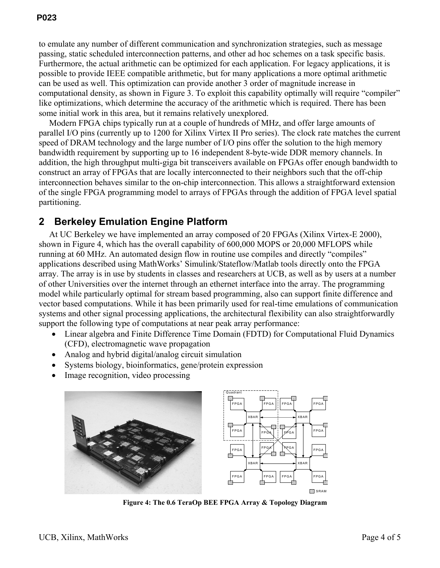to emulate any number of different communication and synchronization strategies, such as message passing, static scheduled interconnection patterns, and other ad hoc schemes on a task specific basis. Furthermore, the actual arithmetic can be optimized for each application. For legacy applications, it is possible to provide IEEE compatible arithmetic, but for many applications a more optimal arithmetic can be used as well. This optimization can provide another 3 order of magnitude increase in computational density, as shown in Figure 3. To exploit this capability optimally will require "compiler" like optimizations, which determine the accuracy of the arithmetic which is required. There has been some initial work in this area, but it remains relatively unexplored.

Modern FPGA chips typically run at a couple of hundreds of MHz, and offer large amounts of parallel I/O pins (currently up to 1200 for Xilinx Virtex II Pro series). The clock rate matches the current speed of DRAM technology and the large number of I/O pins offer the solution to the high memory bandwidth requirement by supporting up to 16 independent 8-byte-wide DDR memory channels. In addition, the high throughput multi-giga bit transceivers available on FPGAs offer enough bandwidth to construct an array of FPGAs that are locally interconnected to their neighbors such that the off-chip interconnection behaves similar to the on-chip interconnection. This allows a straightforward extension of the single FPGA programming model to arrays of FPGAs through the addition of FPGA level spatial partitioning.

# **2 Berkeley Emulation Engine Platform**

At UC Berkeley we have implemented an array composed of 20 FPGAs (Xilinx Virtex-E 2000), shown in Figure 4, which has the overall capability of 600,000 MOPS or 20,000 MFLOPS while running at 60 MHz. An automated design flow in routine use compiles and directly "compiles" applications described using MathWorks' Simulink/Stateflow/Matlab tools directly onto the FPGA array. The array is in use by students in classes and researchers at UCB, as well as by users at a number of other Universities over the internet through an ethernet interface into the array. The programming model while particularly optimal for stream based programming, also can support finite difference and vector based computations. While it has been primarily used for real-time emulations of communication systems and other signal processing applications, the architectural flexibility can also straightforwardly support the following type of computations at near peak array performance:

- Linear algebra and Finite Difference Time Domain (FDTD) for Computational Fluid Dynamics (CFD), electromagnetic wave propagation
- Analog and hybrid digital/analog circuit simulation
- Systems biology, bioinformatics, gene/protein expression
- Image recognition, video processing





**Figure 4: The 0.6 TeraOp BEE FPGA Array & Topology Diagram**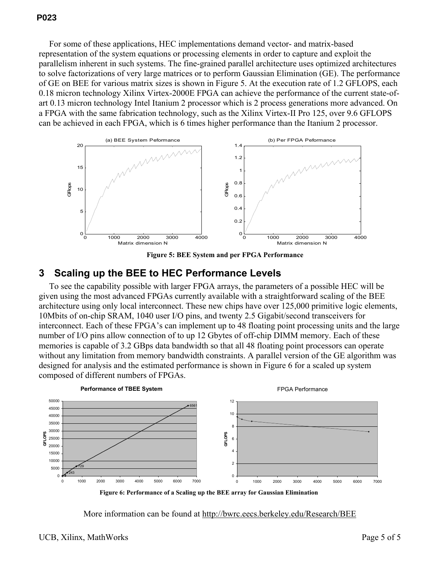#### **P023**

For some of these applications, HEC implementations demand vector- and matrix-based representation of the system equations or processing elements in order to capture and exploit the parallelism inherent in such systems. The fine-grained parallel architecture uses optimized architectures to solve factorizations of very large matrices or to perform Gaussian Elimination (GE). The performance of GE on BEE for various matrix sizes is shown in Figure 5. At the execution rate of 1.2 GFLOPS, each 0.18 micron technology Xilinx Virtex-2000E FPGA can achieve the performance of the current state-ofart 0.13 micron technology Intel Itanium 2 processor which is 2 process generations more advanced. On a FPGA with the same fabrication technology, such as the Xilinx Virtex-II Pro 125, over 9.6 GFLOPS can be achieved in each FPGA, which is 6 times higher performance than the Itanium 2 processor.



**Figure 5: BEE System and per FPGA Performance** 

#### **3 Scaling up the BEE to HEC Performance Levels**

To see the capability possible with larger FPGA arrays, the parameters of a possible HEC will be given using the most advanced FPGAs currently available with a straightforward scaling of the BEE architecture using only local interconnect. These new chips have over 125,000 primitive logic elements, 10Mbits of on-chip SRAM, 1040 user I/O pins, and twenty 2.5 Gigabit/second transceivers for interconnect. Each of these FPGA's can implement up to 48 floating point processing units and the large number of I/O pins allow connection of to up 12 Gbytes of off-chip DIMM memory. Each of these memories is capable of 3.2 GBps data bandwidth so that all 48 floating point processors can operate without any limitation from memory bandwidth constraints. A parallel version of the GE algorithm was designed for analysis and the estimated performance is shown in Figure 6 for a scaled up system composed of different numbers of FPGAs.



Figure 6: Performance of a Scaling up the BEE array for Gaussian Elimination

More information can be found at http://bwrc.eecs.berkeley.edu/Research/BEE